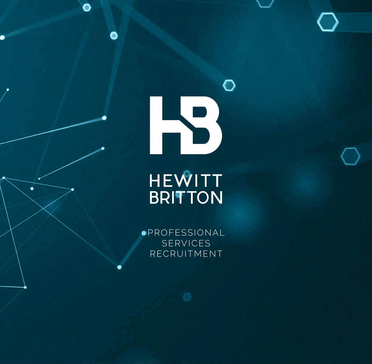

Õ

 $\bullet$ 

**.PROFESSIONAL** SERVICES RECRUITMENT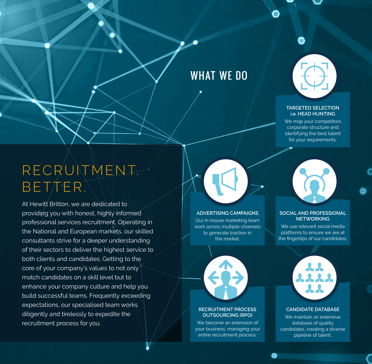## WHAT WE DO



#### **TARGETED SELECTION i.e. HEAD HUNTING**

We map your competitors corporate structure and identifying the best talent for your requirements.

## RECRUITMENT. BETTER.

At Hewitt Britton, we are dedicated to providing you with honest, highly informed professional services recruitment. Operating in the National and European markets, our skilled consultants strive for a deeper understanding of their sectors to deliver the highest service to both clients and candidates. Getting to the core of your company's values to not only match candidates on a skill level but to enhance your company culture and help you build successful teams. Frequently exceeding expectations, our specialised team works diligently and tirelessly to expedite the recruitment process for you.

#### **ADVERTISING CAMPAIGNS**

Our in-house marketing team work across multiple channels to generate traction in the market.



#### **SOCIAL AND PROFESSIONAL NETWORKING**

We use relevant social media platforms to ensure we are at the fingertips of our candidates.



#### **RECRUITMENT PROCESS OUTSOURCING (RPO)**

We become an extension of your business, managing your entire recruitment process.



#### **CANDIDATE DATABASE**

We maintain an extensive database of quality candidates, creating a diverse pipeline of talent.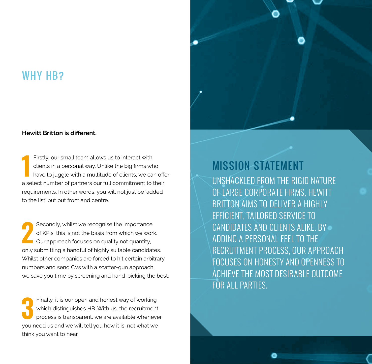### WHY H<sub>B</sub>?

#### **Hewitt Britton is different.**

**1 1** Firstly, our small team allows us to interact with clients in a personal way. Unlike the big firms who have to juggle with a multitude of clients, we can offer clients in a personal way. Unlike the big firms who a select number of partners our full commitment to their requirements. In other words, you will not just be 'added to the list' but put front and centre.

**2 2 Secondly, whilst we recognise the importance of KPIs, this is not the basis from which we work<br>Our approach focuses on quality not quantity,** of KPIs, this is not the basis from which we work. Our approach focuses on quality not quantity, only submitting a handful of highly suitable candidates. Whilst other companies are forced to hit certain arbitrary numbers and send CVs with a scatter-gun approach, we save you time by screening and hand-picking the best.

**3 Finally, it is our open and honest way of working which distinguishes HB. With us, the recruitment process is transparent, we are available whenever** which distinguishes HB. With us, the recruitment process is transparent, we are available whenever you need us and we will tell you how it is, not what we think you want to hear.



### MISSION STATEMENT

UNSHACKLED FROM THE RIGID NATURE OF LARGE CORPORATE FIRMS, HEWITT BRITTON AIMS TO DELIVER A HIGHLY EFFICIENT, TAILORED SERVICE TO CANDIDATES AND CLIENTS ALIKE. BY ADDING A PERSONAL FEEL TO THE RECRUITMENT PROCESS, OUR APPROACH FOCUSES ON HONESTY AND OPENNESS TO ACHIEVE THE MOST DESIRABLE OUTCOME FOR ALL PARTIES.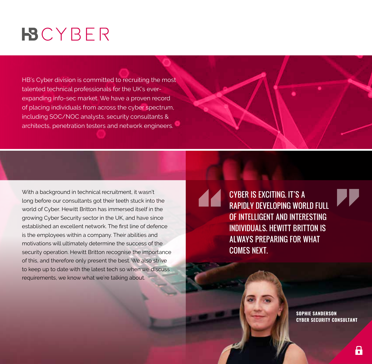# **BCYBER**

HB's Cyber division is committed to recruiting the most talented technical professionals for the UK's everexpanding info-sec market. We have a proven record of placing individuals from across the cyber spectrum, including SOC/NOC analysts, security consultants & architects, penetration testers and network engineers.

With a background in technical recruitment, it wasn't long before our consultants got their teeth stuck into the world of Cyber. Hewitt Britton has immersed itself in the growing Cyber Security sector in the UK, and have since established an excellent network. The first line of defence is the employees within a company. Their abilities and motivations will ultimately determine the success of the security operation. Hewitt Britton recognise the importance of this, and therefore only present the best. We also strive to keep up to date with the latest tech so when we discuss requirements, we know what we're talking about.

CYBER IS EXCITING. IT'S A RAPIDLY DEVELOPING WORLD FULL OF INTELLIGENT AND INTERESTING INDIVIDUALS. HEWITT BRITTON IS ALWAYS PREPARING FOR WHAT COMES NEXT.

> **SOPHIE SANDERSON CYBER SECURITY CONSULTANT**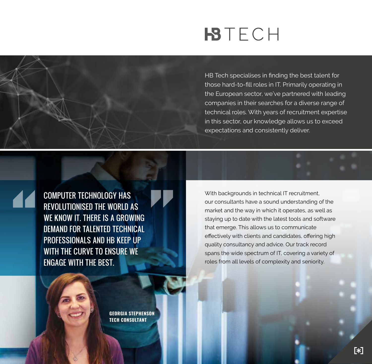# **BTECH**

HB Tech specialises in finding the best talent for those hard-to-fill roles in IT. Primarily operating in the European sector, we've partnered with leading companies in their searches for a diverse range of technical roles. With years of recruitment expertise in this sector, our knowledge allows us to exceed expectations and consistently deliver.

COMPUTER TECHNOLOGY HAS REVOLUTIONISED THE WORLD AS WE KNOW IT. THERE IS A GROWING DEMAND FOR TALENTED TECHNICAL PROFESSIONALS AND HB KEEP UP WITH THE CURVE TO ENSURE WE ENGAGE WITH THE BEST.

With backgrounds in technical IT recruitment, our consultants have a sound understanding of the market and the way in which it operates, as well as staying up to date with the latest tools and software that emerge. This allows us to communicate effectively with clients and candidates, offering high quality consultancy and advice. Our track record spans the wide spectrum of IT, covering a variety of roles from all levels of complexity and seniority.

**GEORGIA STEPHENSON TECH CONSULTANT**